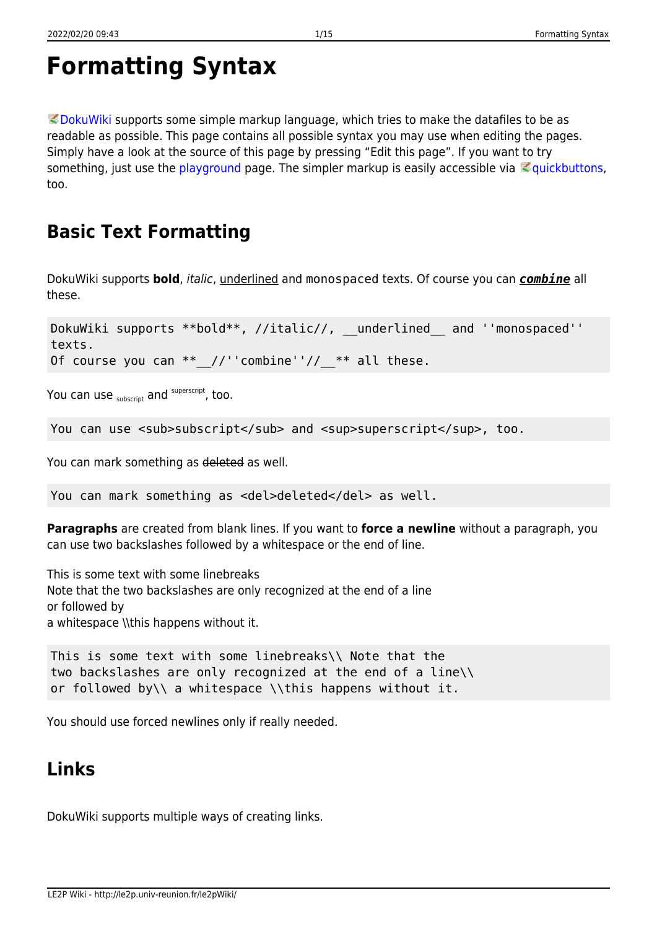```
Formatting Syntax
```
 $\heartsuit$  [DokuWiki](https://www.dokuwiki.org/DokuWiki) supports some simple markup language, which tries to make the datafiles to be as readable as possible. This page contains all possible syntax you may use when editing the pages. Simply have a look at the source of this page by pressing "Edit this page". If you want to try something, just use the [playground](http://le2p.univ-reunion.fr/le2pWiki/doku.php/playground/playground) page. The simpler markup is easily accessible via  $\leq$  [quickbuttons,](https://www.dokuwiki.org/toolbar) too.

# **Basic Text Formatting**

DokuWiki supports **bold**, italic, underlined and monospaced texts. Of course you can *combine* all these.

DokuWiki supports \*\*bold\*\*, //italic//, \_\_underlined and ''monospaced'' texts. Of course you can  $**$  //''combine''//  $**$  all these.

You can use  $_{\text{subscript}}$  and  $^{\text{superscript}}$ , too.

You can use <sub>subscript</sub> and <sup>superscript</sup>, too.

You can mark something as deleted as well.

You can mark something as <del>deleted</del> as well.

**Paragraphs** are created from blank lines. If you want to **force a newline** without a paragraph, you can use two backslashes followed by a whitespace or the end of line.

This is some text with some linebreaks Note that the two backslashes are only recognized at the end of a line or followed by a whitespace \\this happens without it.

```
This is some text with some linebreaks\\ Note that the
two backslashes are only recognized at the end of a line\\
or followed by\\ a whitespace \\this happens without it.
```
You should use forced newlines only if really needed.

# <span id="page-0-1"></span>**Links**

DokuWiki supports multiple ways of creating links.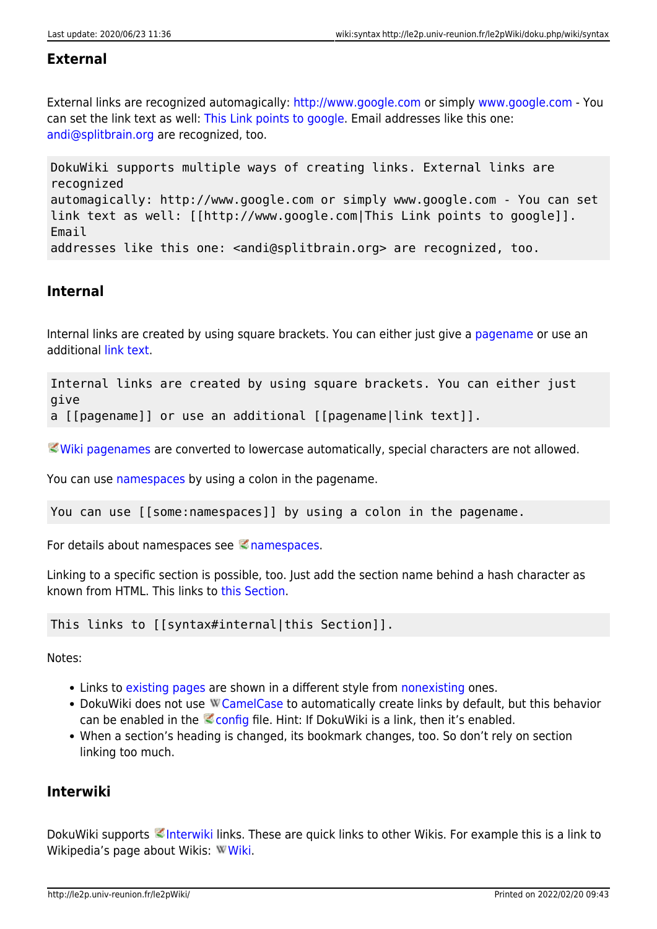#### **External**

External links are recognized automagically:<http://www.google.com>or simply [www.google.com](http://www.google.com) - You can set the link text as well: [This Link points to google](http://www.google.com). Email addresses like this one: [andi@splitbrain.org](mailto:andi@splitbrain.org) are recognized, too.

DokuWiki supports multiple ways of creating links. External links are recognized automagically: http://www.google.com or simply www.google.com - You can set link text as well: [[http://www.google.com|This Link points to google]]. Email addresses like this one: <andi@splitbrain.org> are recognized, too.

#### <span id="page-1-0"></span>**Internal**

Internal links are created by using square brackets. You can either just give a [pagename](http://le2p.univ-reunion.fr/le2pWiki/doku.php/wiki/pagename) or use an additional [link text](http://le2p.univ-reunion.fr/le2pWiki/doku.php/wiki/pagename).

Internal links are created by using square brackets. You can either just give a [[pagename]] or use an additional [[pagename|link text]].

[Wiki pagenames](https://www.dokuwiki.org/pagename) are converted to lowercase automatically, special characters are not allowed.

You can use [namespaces](http://le2p.univ-reunion.fr/le2pWiki/doku.php/some/namespaces) by using a colon in the pagename.

You can use [[some:namespaces]] by using a colon in the pagename.

For details about [namespaces](https://www.dokuwiki.org/namespaces) see  $\leq$  namespaces.

Linking to a specific section is possible, too. Just add the section name behind a hash character as known from HTML. This links to [this Section.](#page-1-0)

This links to [[syntax#internal|this Section]].

Notes:

- Links to [existing pages](#page-0-0) are shown in a different style from [nonexisting](http://le2p.univ-reunion.fr/le2pWiki/doku.php/wiki/nonexisting) ones.
- DokuWiki does not use W [CamelCase](https://en.wikipedia.org/wiki/CamelCase) to automatically create links by default, but this behavior can be enabled in the  $\leq$  [config](https://www.dokuwiki.org/config) file. Hint: If DokuWiki is a link, then it's enabled.
- When a section's heading is changed, its bookmark changes, too. So don't rely on section linking too much.

### **Interwiki**

DokuWiki supports [Interwiki](https://www.dokuwiki.org/Interwiki) links. These are quick links to other Wikis. For example this is a link to Wikipedia's page about Wikis: W[Wiki.](https://en.wikipedia.org/wiki/Wiki)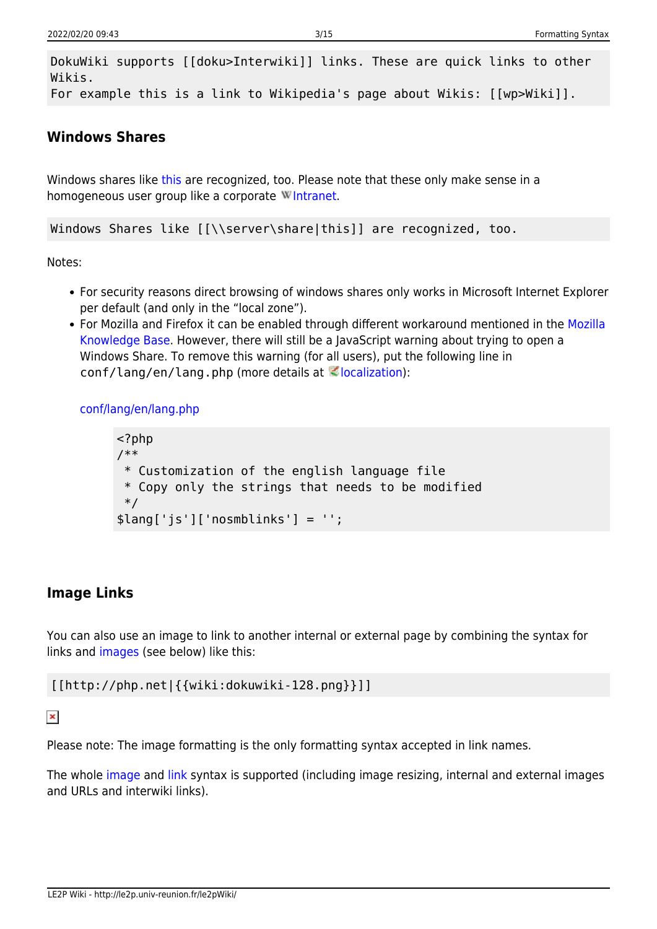DokuWiki supports [[doku>Interwiki]] links. These are quick links to other Wikis. For example this is a link to Wikipedia's page about Wikis: [[wp>Wiki]].

#### **Windows Shares**

Windows shares like [this](#page--1-0) are recognized, too. Please note that these only make sense in a homogeneous user group like a corporate W[Intranet](https://en.wikipedia.org/wiki/Intranet).

Windows Shares like [[\\server\share|this]] are recognized, too.

Notes:

- For security reasons direct browsing of windows shares only works in Microsoft Internet Explorer per default (and only in the "local zone").
- For Mozilla and Firefox it can be enabled through different workaround mentioned in the [Mozilla](http://kb.mozillazine.org/Links_to_local_pages_do_not_work) [Knowledge Base](http://kb.mozillazine.org/Links_to_local_pages_do_not_work). However, there will still be a JavaScript warning about trying to open a Windows Share. To remove this warning (for all users), put the following line in  $conf/l$ ang/en/lang.php (more details at  $\leq$  [localization\)](https://www.dokuwiki.org/localization#changing_some_localized_texts_and_strings_in_your_installation):

[conf/lang/en/lang.php](http://le2p.univ-reunion.fr/le2pWiki/doku.php/wiki/syntax?do=export_code&codeblock=0)

```
<?php
/**
  * Customization of the english language file
  * Copy only the strings that needs to be modified
 */
$lang['js']['nosmblinks'] = '';
```
### <span id="page-2-0"></span>**Image Links**

You can also use an image to link to another internal or external page by combining the syntax for links and [images](#page--1-0) (see below) like this:

[[http://php.net|{{wiki:dokuwiki-128.png}}]]

 $\pmb{\times}$ 

Please note: The image formatting is the only formatting syntax accepted in link names.

The whole [image](#page--1-0) and [link](#page-0-1) syntax is supported (including image resizing, internal and external images and URLs and interwiki links).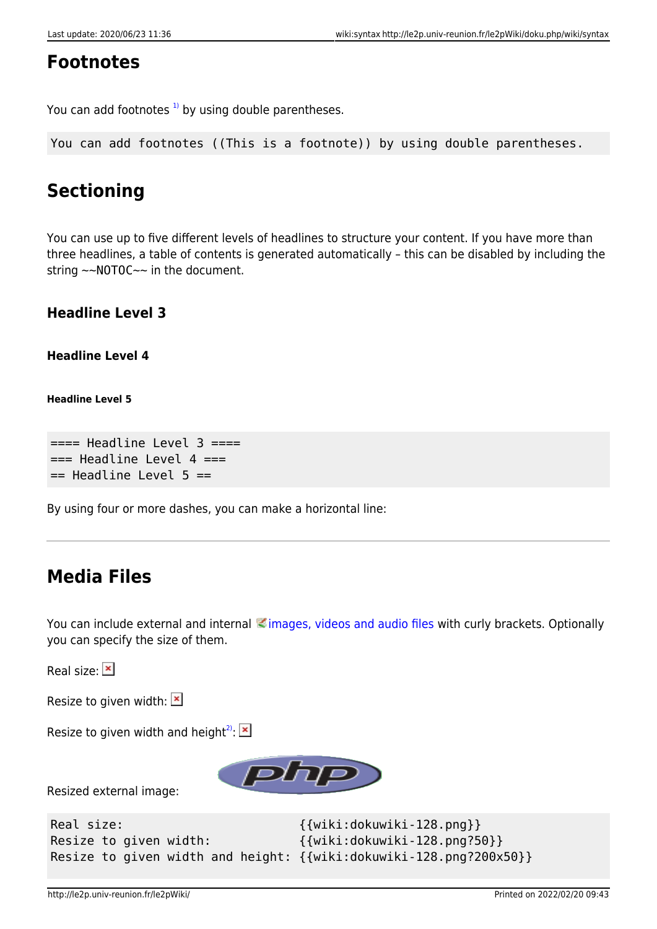## **Footnotes**

You can add footnotes  $1$ <sup>1</sup> by using double parentheses.

You can add footnotes ((This is a footnote)) by using double parentheses.

# **Sectioning**

You can use up to five different levels of headlines to structure your content. If you have more than three headlines, a table of contents is generated automatically – this can be disabled by including the string ~~NOTOC~~ in the document.

#### **Headline Level 3**

**Headline Level 4**

**Headline Level 5**

 $====$  Headline Level  $3 ==$  $==$  Headline Level 4  $==$  $==$  Headline Level 5  $==$ 

By using four or more dashes, you can make a horizontal line:

# **Media Files**

You can include external and internal [images, videos and audio files](https://www.dokuwiki.org/images) with curly brackets. Optionally you can specify the size of them.

Realsize: **x** 

Resizeto given width:  $\mathbf{X}$ 

Resize to given width and height<sup>[2\)](#page--1-0)</sup>: $\mathbf{x}$ 



Resized external image:

| Real size:                                                         | $\{$ {wiki:dokuwiki-128.png}}   |
|--------------------------------------------------------------------|---------------------------------|
| Resize to given width:                                             | $\{$ wiki:dokuwiki-128.png?50}} |
| Resize to given width and height: {{wiki:dokuwiki-128.png?200x50}} |                                 |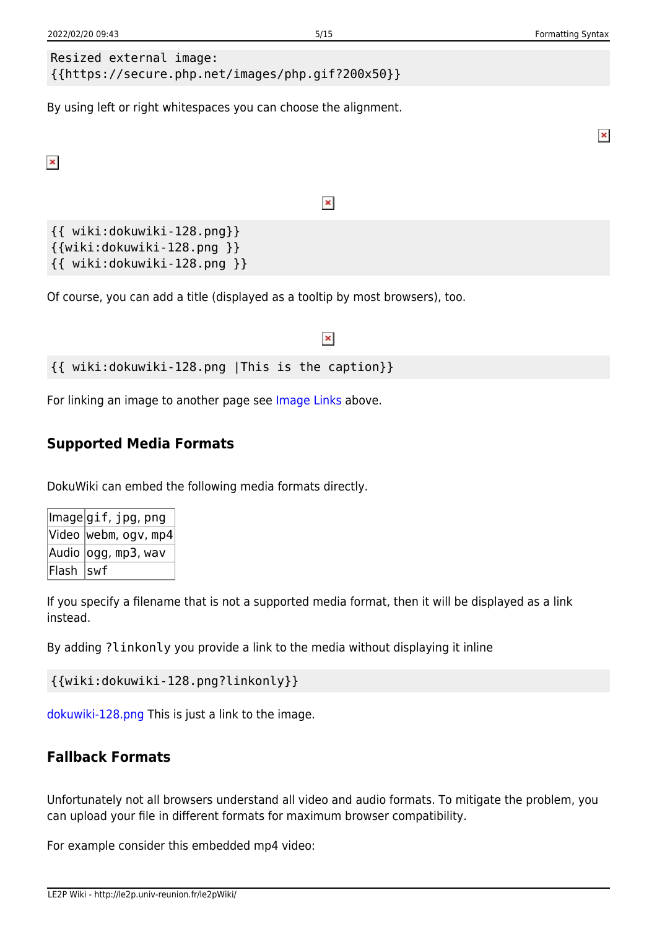$\pmb{\times}$ 

```
Resized external image: 
{{https://secure.php.net/images/php.gif?200x50}}
```
By using left or right whitespaces you can choose the alignment.

 $\pmb{\times}$ 

#### $\pmb{\times}$

{{ wiki:dokuwiki-128.png}} {{wiki:dokuwiki-128.png }} {{ wiki:dokuwiki-128.png }}

Of course, you can add a title (displayed as a tooltip by most browsers), too.

#### $\pmb{\times}$

{{ wiki:dokuwiki-128.png |This is the caption}}

For linking an image to another page see [Image Links](#page-2-0) above.

#### **Supported Media Formats**

DokuWiki can embed the following media formats directly.

|            | lmage gif, jpg, png              |
|------------|----------------------------------|
|            | $ $ Video $ $ webm, ogv, mp4 $ $ |
|            | Audio  ogg, mp3, wav             |
| Flash  swf |                                  |

If you specify a filename that is not a supported media format, then it will be displayed as a link instead.

By adding ?linkonly you provide a link to the media without displaying it inline

```
{{wiki:dokuwiki-128.png?linkonly}}
```
[dokuwiki-128.png](http://le2p.univ-reunion.fr/le2pWiki/lib/exe/fetch.php/wiki/dokuwiki-128.png) This is just a link to the image.

#### **Fallback Formats**

Unfortunately not all browsers understand all video and audio formats. To mitigate the problem, you can upload your file in different formats for maximum browser compatibility.

For example consider this embedded mp4 video: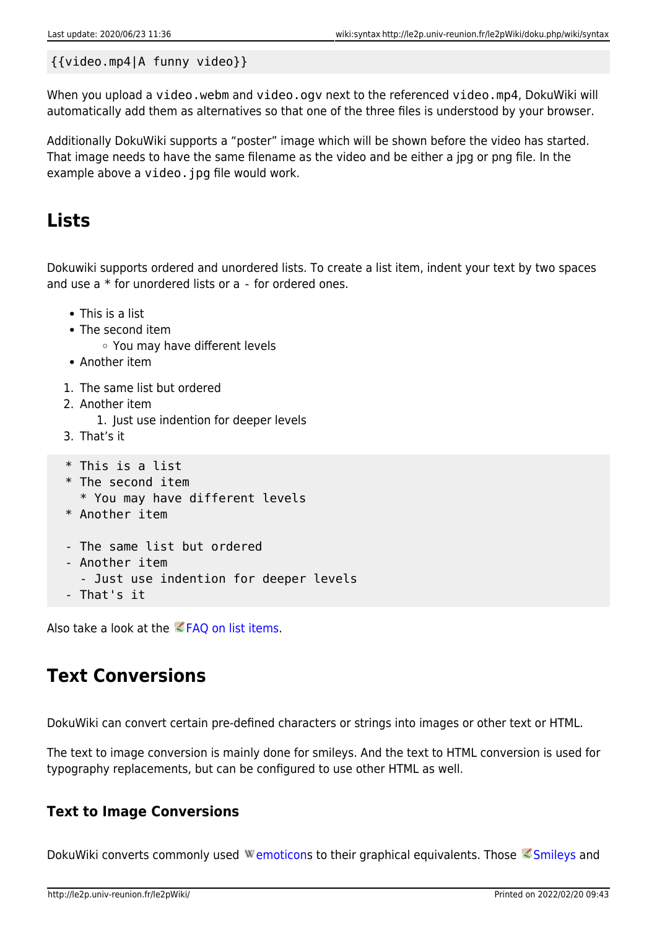#### {{video.mp4|A funny video}}

When you upload a video.webm and video.ogv next to the referenced video.mp4, DokuWiki will automatically add them as alternatives so that one of the three files is understood by your browser.

Additionally DokuWiki supports a "poster" image which will be shown before the video has started. That image needs to have the same filename as the video and be either a jpg or png file. In the example above a video. jpg file would work.

## **Lists**

Dokuwiki supports ordered and unordered lists. To create a list item, indent your text by two spaces and use a \* for unordered lists or a - for ordered ones.

- This is a list
- The second item
	- You may have different levels
- Another item
- 1. The same list but ordered
- 2. Another item
	- 1. Just use indention for deeper levels
- 3. That's it

```
 * This is a list
```
- \* The second item
	- \* You may have different levels
- \* Another item
- The same list but ordered
- Another item
- Just use indention for deeper levels
- That's it

Also take a look at the **FAQ on list items**.

# **Text Conversions**

DokuWiki can convert certain pre-defined characters or strings into images or other text or HTML.

The text to image conversion is mainly done for smileys. And the text to HTML conversion is used for typography replacements, but can be configured to use other HTML as well.

### **Text to Image Conversions**

DokuWiki converts commonly used Wemoticons to their graphical equivalents. Those [Smileys](https://www.dokuwiki.org/Smileys) and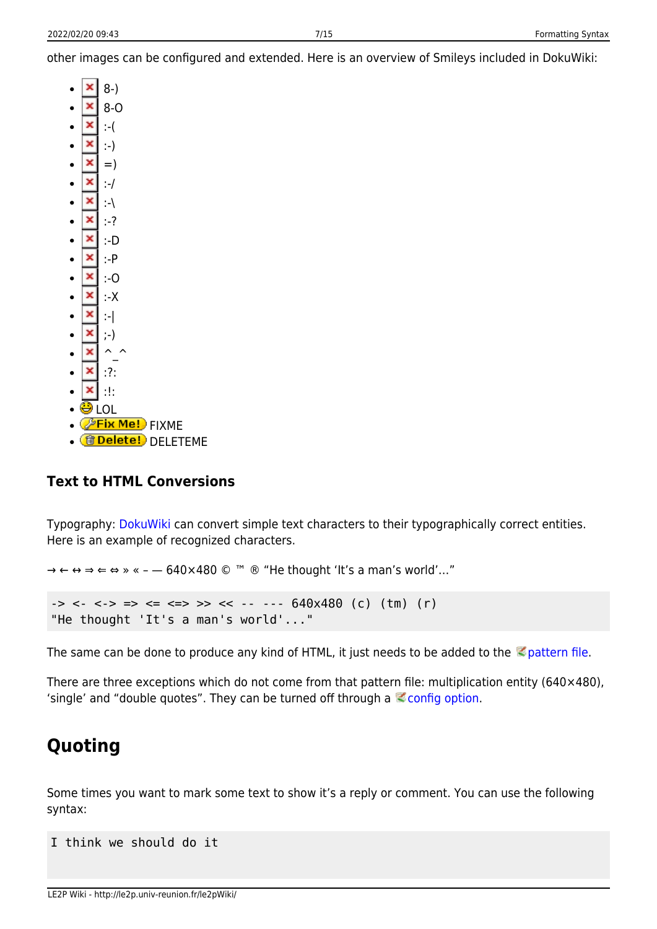other images can be configured and extended. Here is an overview of Smileys included in DokuWiki:

- $\pmb{\times}$  8-)  $\bullet$
- $\pmb{\times}$ 8-O
- $\pmb{\times}$ :-(
- ×  $\bullet$ :-)
- $\pmb{\times}$  $=$ )  $\bullet$
- $\pmb{\times}$  :-/  $\bullet$
- $\pmb{\times}$  :-\  $\epsilon$
- ×  $\epsilon$
- :-?  $\mathbf{x}$
- :-D  $\bullet$
- × :-P  $\bullet$
- $\pmb{\times}$  :-O  $\bullet$
- $\pmb{\times}$  :-X  $\bullet$
- ×  $\bullet$ :-|
- $\pmb{\times}$  $\bullet$ ;-)
- ×  $\wedge$   $\wedge$  $\bullet$
- $\pmb{\times}$  :?:  $\bullet$
- × :!:  $\bullet$
- <u>D</u> LOL
- <mark>@Fix Me!</mark> FIXME
- **fidelete!** DELETEME

### **Text to HTML Conversions**

Typography: [DokuWiki](http://le2p.univ-reunion.fr/le2pWiki/doku.php/wiki/dokuwiki) can convert simple text characters to their typographically correct entities. Here is an example of recognized characters.

```
→ ← ↔ ⇒ ⇐ ⇔ » « – — 640×480 © ™ ® "He thought 'It's a man's world'…"
\rightarrow <- <-> \Rightarrow \Leftarrow <=> >> << -- --- 640x480 (c) (tm) (r)
"He thought 'It's a man's world'..."
```
The same can be done to produce any kind of HTML, it just needs to be added to the  $\leq$  [pattern file](https://www.dokuwiki.org/entities).

There are three exceptions which do not come from that pattern file: multiplication entity (640×480), 'single' and "double quotes". They can be turned off through a  $\mathbb Z$  [config option](https://www.dokuwiki.org/config%3Atypography).

# **Quoting**

Some times you want to mark some text to show it's a reply or comment. You can use the following syntax:

```
I think we should do it
```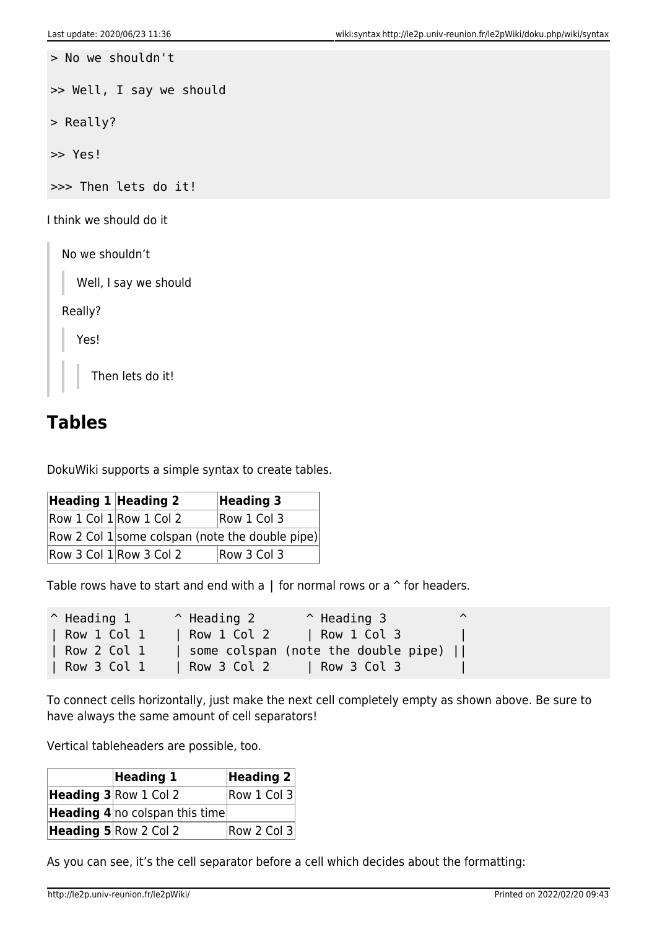```
> No we shouldn't
>> Well, I say we should
> Really?
>> Yes!
>>> Then lets do it!
I think we should do it
  No we shouldn't
     Well, I say we should
  Really?
     Yes!
       Then lets do it!
```
# **Tables**

DokuWiki supports a simple syntax to create tables.

| Heading 1 Heading 2 |                         | <b>Heading 3</b>                                |
|---------------------|-------------------------|-------------------------------------------------|
|                     | Row 1 Col 1 Row 1 Col 2 | Row 1 Col 3                                     |
|                     |                         | Row 2 Col 1 some colspan (note the double pipe) |
|                     | Row 3 Col 1 Row 3 Col 2 | Row 3 Col 3                                     |

Table rows have to start and end with a  $\parallel$  for normal rows or a  $\uparrow$  for headers.

| $^{\wedge}$ Heading 1 | $^{\circ}$ Heading 2        | $^{\circ}$ Heading 3                |  |
|-----------------------|-----------------------------|-------------------------------------|--|
| Row 1 Col 1           | $\vert$ Row 1 Col 2         | Row 1 Col 3                         |  |
| Row 2 Col 1           |                             | some colspan (note the double pipe) |  |
| Row 3 Col 1           | $\vert$ Row 3 Col 2 $\vert$ | $\vert$ Row 3 Col 3                 |  |

To connect cells horizontally, just make the next cell completely empty as shown above. Be sure to have always the same amount of cell separators!

Vertical tableheaders are possible, too.

| <b>Heading 1</b>                      | Heading $2 $ |
|---------------------------------------|--------------|
| <b>Heading 3</b> Row 1 Col 2          | Row 1 Col 3  |
| <b>Heading 4</b> no colspan this time |              |
| Heading 5 Row 2 Col 2                 | Row 2 Col 3  |

As you can see, it's the cell separator before a cell which decides about the formatting: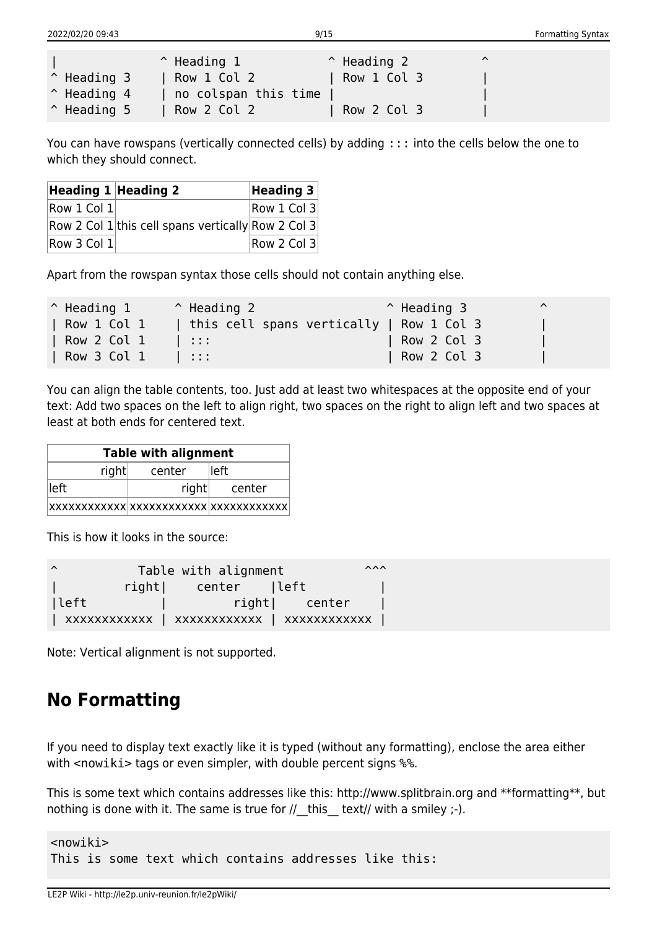|                      | $\hat{}$ Heading 1   | $\hat{ }$ Heading 2 | $\lambda$ |  |
|----------------------|----------------------|---------------------|-----------|--|
| $^{\circ}$ Heading 3 | Row 1 Col 2          | Row 1 Col 3         |           |  |
| $^{\circ}$ Heading 4 | no colspan this time |                     |           |  |
| $\hat{}$ Heading 5   | Row 2 Col 2          | Row 2 Col 3         |           |  |

You can have rowspans (vertically connected cells) by adding ::: into the cells below the one to which they should connect.

| Heading $1$ Heading 2 |                                                    | Heading $3$ |
|-----------------------|----------------------------------------------------|-------------|
| Row 1 Col 1           |                                                    | Row 1 Col 3 |
|                       | Row 2 Col 1 this cell spans vertically Row 2 Col 3 |             |
| Row 3 Col 1           |                                                    | Row 2 Col 3 |

Apart from the rowspan syntax those cells should not contain anything else.

| $^{\circ}$ Heading 1 | $^{\circ}$ Heading 2                     | $\hat{}$ Heading 3 | $\hat{\phantom{a}}$ |
|----------------------|------------------------------------------|--------------------|---------------------|
| Row 1 Col 1          | this cell spans vertically   Row 1 Col 3 |                    |                     |
| Row 2 Col 1          | - 111                                    | Row 2 Col 3        |                     |
| Row 3 Col 1          | 4 H H                                    | Row 2 Col 3        |                     |

You can align the table contents, too. Just add at least two whitespaces at the opposite end of your text: Add two spaces on the left to align right, two spaces on the right to align left and two spaces at least at both ends for centered text.

| <b>Table with alignment</b> |        |              |
|-----------------------------|--------|--------------|
| right                       | center | lleft.       |
| left !                      |        | right center |
|                             |        |              |

This is how it looks in the source:

| $\lambda$ | Table with alignment |               | $\wedge\wedge\wedge$ |
|-----------|----------------------|---------------|----------------------|
|           | right  center  left  |               |                      |
| left      |                      | right  center |                      |
|           |                      |               |                      |

Note: Vertical alignment is not supported.

## **No Formatting**

If you need to display text exactly like it is typed (without any formatting), enclose the area either with <nowiki> tags or even simpler, with double percent signs %%.

This is some text which contains addresses like this: http://www.splitbrain.org and \*\*formatting\*\*, but nothing is done with it. The same is true for  $//$  this text// with a smiley  $;-$ ).

<nowiki> This is some text which contains addresses like this: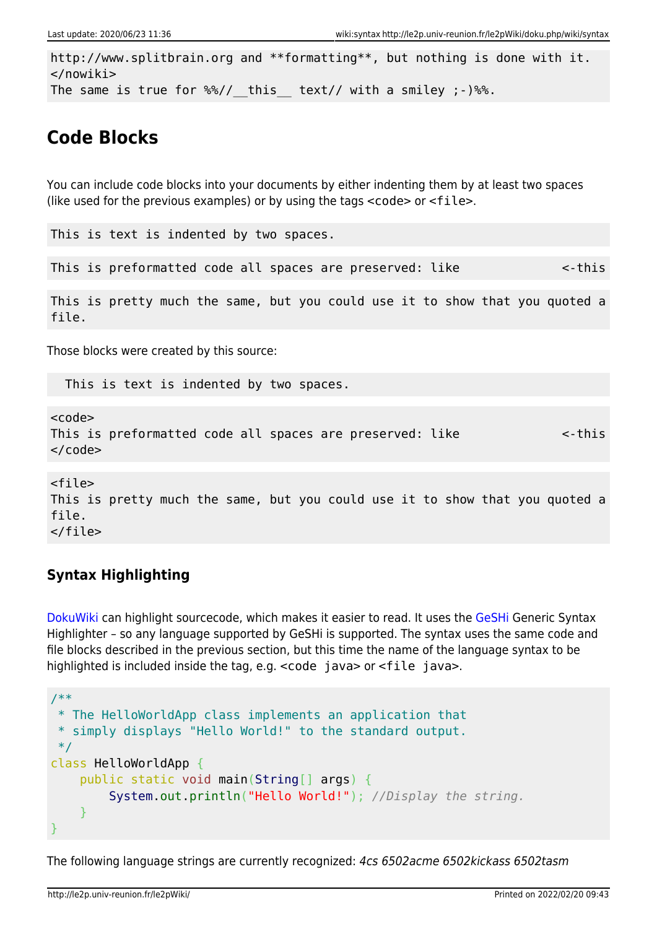```
http://www.splitbrain.org and **formatting**, but nothing is done with it.
</nowiki>
The same is true for \frac{1}{2} this text// with a smiley ;-) \frac{1}{2}.
```
# **Code Blocks**

You can include code blocks into your documents by either indenting them by at least two spaces (like used for the previous examples) or by using the tags  $\leq$  code> or  $\leq$  file>.

```
This is text is indented by two spaces.
```
This is preformatted code all spaces are preserved: like  $\leq$ -this

This is pretty much the same, but you could use it to show that you quoted a file.

Those blocks were created by this source:

This is text is indented by two spaces.

<code></code> This is preformatted code all spaces are preserved: like  $\leq$ -this  $<$ / $code>$ 

```
<file>
This is pretty much the same, but you could use it to show that you quoted a
file.
</file>
```
### **Syntax Highlighting**

[DokuWiki](http://le2p.univ-reunion.fr/le2pWiki/doku.php/wiki/dokuwiki) can highlight sourcecode, which makes it easier to read. It uses the [GeSHi](http://qbnz.com/highlighter/) Generic Syntax Highlighter – so any language supported by GeSHi is supported. The syntax uses the same code and file blocks described in the previous section, but this time the name of the language syntax to be highlighted is included inside the tag, e.g.  $\leq$  code java > or  $\leq$  file java >.

```
/**
 * The HelloWorldApp class implements an application that
 * simply displays "Hello World!" to the standard output.
 */
class HelloWorldApp {
     public static void main(String[] args) {
         System.out.println("Hello World!"); //Display the string.
     }
}
```
The following language strings are currently recognized: 4cs 6502acme 6502kickass 6502tasm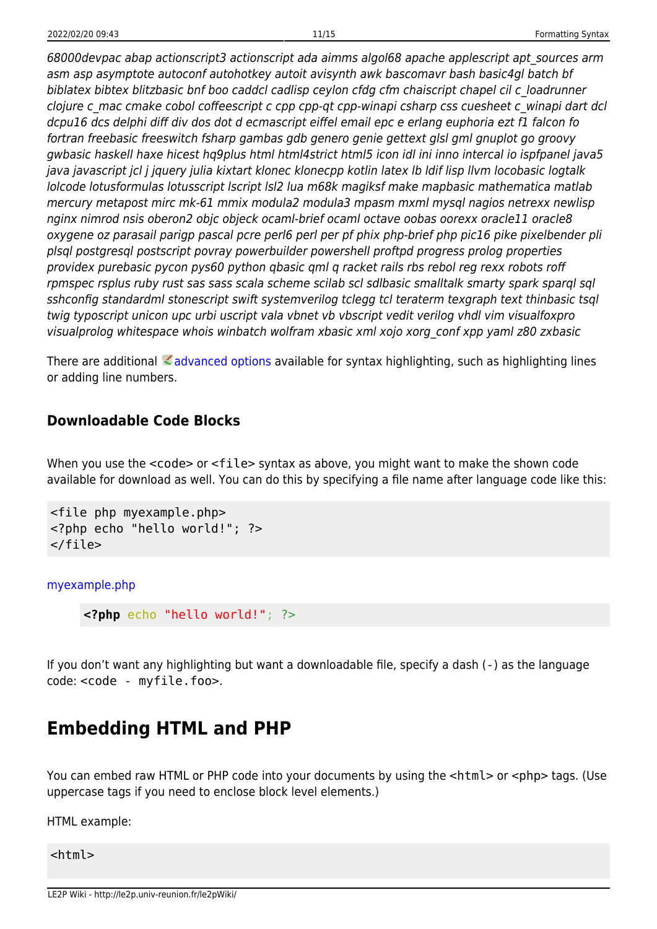68000devpac abap actionscript3 actionscript ada aimms algol68 apache applescript apt\_sources arm asm asp asymptote autoconf autohotkey autoit avisynth awk bascomavr bash basic4gl batch bf biblatex bibtex blitzbasic bnf boo caddcl cadlisp ceylon cfdg cfm chaiscript chapel cil c\_loadrunner clojure c\_mac cmake cobol coffeescript c cpp cpp-qt cpp-winapi csharp css cuesheet c\_winapi dart dcl dcpu16 dcs delphi diff div dos dot d ecmascript eiffel email epc e erlang euphoria ezt f1 falcon fo fortran freebasic freeswitch fsharp gambas gdb genero genie gettext glsl gml gnuplot go groovy gwbasic haskell haxe hicest hq9plus html html4strict html5 icon idl ini inno intercal io ispfpanel java5 java javascript jcl j jquery julia kixtart klonec klonecpp kotlin latex lb ldif lisp llvm locobasic logtalk lolcode lotusformulas lotusscript lscript lsl2 lua m68k magiksf make mapbasic mathematica matlab mercury metapost mirc mk-61 mmix modula2 modula3 mpasm mxml mysql nagios netrexx newlisp nginx nimrod nsis oberon2 objc objeck ocaml-brief ocaml octave oobas oorexx oracle11 oracle8 oxygene oz parasail parigp pascal pcre perl6 perl per pf phix php-brief php pic16 pike pixelbender pli plsql postgresql postscript povray powerbuilder powershell proftpd progress prolog properties providex purebasic pycon pys60 python qbasic qml q racket rails rbs rebol reg rexx robots roff rpmspec rsplus ruby rust sas sass scala scheme scilab scl sdlbasic smalltalk smarty spark sparql sql sshconfig standardml stonescript swift systemverilog tclegg tcl teraterm texgraph text thinbasic tsql twig typoscript unicon upc urbi uscript vala vbnet vb vbscript vedit verilog vhdl vim visualfoxpro visualprolog whitespace whois winbatch wolfram xbasic xml xojo xorg\_conf xpp yaml z80 zxbasic

There are additional  $\leq$  [advanced options](https://www.dokuwiki.org/syntax_highlighting) available for syntax highlighting, such as highlighting lines or adding line numbers.

### **Downloadable Code Blocks**

When you use the  $\leq$ code> or  $\leq$ file> syntax as above, you might want to make the shown code available for download as well. You can do this by specifying a file name after language code like this:

```
<file php myexample.php>
<?php echo "hello world!"; ?>
</file>
```
[myexample.php](http://le2p.univ-reunion.fr/le2pWiki/doku.php/wiki/syntax?do=export_code&codeblock=8)

**<?php** echo "hello world!"; ?>

If you don't want any highlighting but want a downloadable file, specify a dash (-) as the language code: <code - myfile.foo>.

## **Embedding HTML and PHP**

You can embed raw HTML or PHP code into your documents by using the  $\alpha$ -html> or  $\alpha$  =php> tags. (Use uppercase tags if you need to enclose block level elements.)

HTML example:

<html>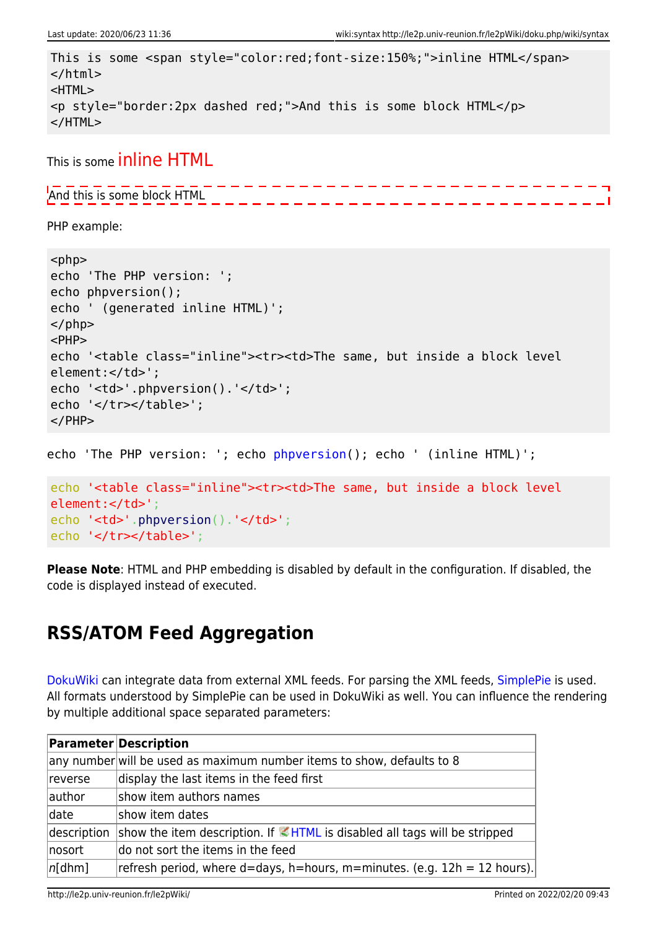```
This is some <span style="color:red;font-size:150%;">inline HTML</span>
</html>
<HTML>
<p style="border:2px dashed red;">And this is some block HTML</p>
</HTML>
```
This is some inline HTML

And this is some block HTML

PHP example:

```
<php>echo 'The PHP version: ';
echo phpversion();
echo ' (generated inline HTML)';
</php><PHP>
echo '<table class="inline"><tr><td>The same, but inside a block level
element:</td>';
echo '<td>'.phpversion().'</td>';
echo '</tr></table>';
</PHP>echo 'The PHP version: '; echo phpversion(); echo ' (inline HTML)';
```

```
echo '<table class="inline"><tr><td>The same, but inside a block level
element:</td>';
.phpversion().'</td>';
echo '</tr></table>';
```
**Please Note**: HTML and PHP embedding is disabled by default in the configuration. If disabled, the code is displayed instead of executed.

# **RSS/ATOM Feed Aggregation**

[DokuWiki](http://le2p.univ-reunion.fr/le2pWiki/doku.php/wiki/dokuwiki) can integrate data from external XML feeds. For parsing the XML feeds, [SimplePie](http://simplepie.org/) is used. All formats understood by SimplePie can be used in DokuWiki as well. You can influence the rendering by multiple additional space separated parameters:

|             | <b>Parameter Description</b>                                                            |
|-------------|-----------------------------------------------------------------------------------------|
|             | any number will be used as maximum number items to show, defaults to 8                  |
| reverse     | display the last items in the feed first                                                |
| author      | show item authors names                                                                 |
| date        | show item dates                                                                         |
| description | show the item description. If $\blacksquare$ HTML is disabled all tags will be stripped |
| nosort      | do not sort the items in the feed                                                       |
| n[dhm]      | refresh period, where d=days, h=hours, m=minutes. (e.g. 12h = 12 hours).                |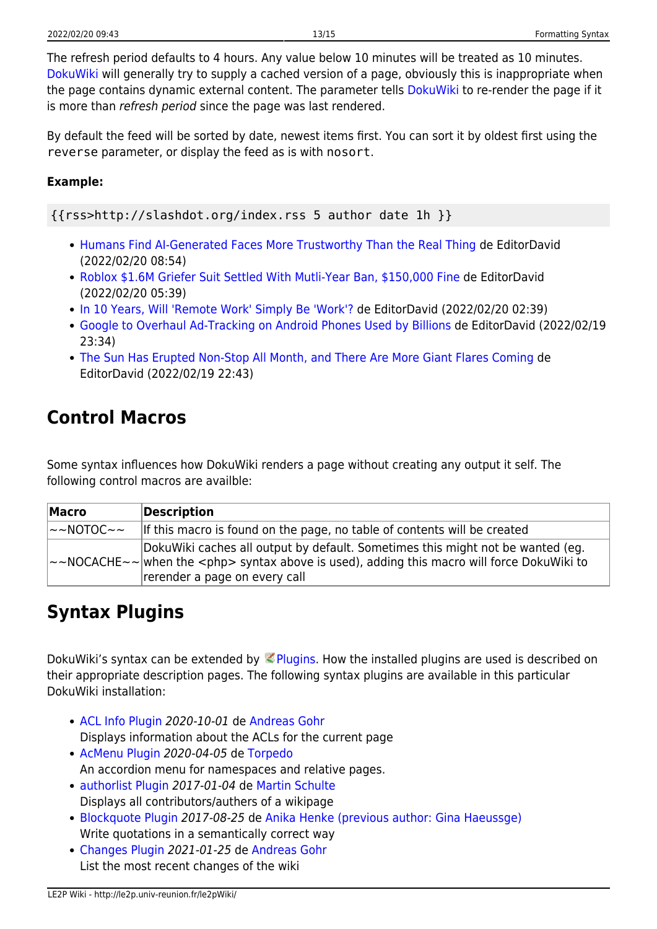By default the feed will be sorted by date, newest items first. You can sort it by oldest first using the reverse parameter, or display the feed as is with nosort.

#### **Example:**

{{rss>http://slashdot.org/index.rss 5 author date 1h }}

- [Humans Find AI-Generated Faces More Trustworthy Than the Real Thing](https://slashdot.org/story/22/02/20/0517232/humans-find-ai-generated-faces-more-trustworthy-than-the-real-thing?utm_source=rss1.0mainlinkanon&utm_medium=feed) de EditorDavid (2022/02/20 08:54)
- [Roblox \\$1.6M Griefer Suit Settled With Mutli-Year Ban, \\$150,000 Fine](https://games.slashdot.org/story/22/02/20/0439228/roblox-16m-griefer-suit-settled-with-mutli-year-ban-150000-fine?utm_source=rss1.0mainlinkanon&utm_medium=feed) de EditorDavid (2022/02/20 05:39)
- [In 10 Years, Will 'Remote Work' Simply Be 'Work'?](https://it.slashdot.org/story/22/02/20/0228247/in-10-years-will-remote-work-simply-be-work?utm_source=rss1.0mainlinkanon&utm_medium=feed) de EditorDavid (2022/02/20 02:39)
- [Google to Overhaul Ad-Tracking on Android Phones Used by Billions](https://tech.slashdot.org/story/22/02/19/0210217/google-to-overhaul-ad-tracking-on-android-phones-used-by-billions?utm_source=rss1.0mainlinkanon&utm_medium=feed) de EditorDavid (2022/02/19 23:34)
- [The Sun Has Erupted Non-Stop All Month, and There Are More Giant Flares Coming](https://science.slashdot.org/story/22/02/19/2240257/the-sun-has-erupted-non-stop-all-month-and-there-are-more-giant-flares-coming?utm_source=rss1.0mainlinkanon&utm_medium=feed) de EditorDavid (2022/02/19 22:43)

# **Control Macros**

Some syntax influences how DokuWiki renders a page without creating any output it self. The following control macros are availble:

| Macro                      | Description                                                                                                                                                                                                                         |
|----------------------------|-------------------------------------------------------------------------------------------------------------------------------------------------------------------------------------------------------------------------------------|
| $\sim$ NOTOC $\sim$ $\sim$ | If this macro is found on the page, no table of contents will be created                                                                                                                                                            |
|                            | DokuWiki caches all output by default. Sometimes this might not be wanted (eg.<br>$\sim$ NOCACHE $\sim$ $\sim$ when the $\lt$ php> syntax above is used), adding this macro will force DokuWiki to<br>rerender a page on every call |

# **Syntax Plugins**

DokuWiki's syntax can be extended by [Plugins](https://www.dokuwiki.org/plugins). How the installed plugins are used is described on their appropriate description pages. The following syntax plugins are available in this particular DokuWiki installation:

- [ACL Info Plugin](http://www.dokuwiki.org/plugin:aclinfo) 2020-10-01 de [Andreas Gohr](mailto:dokuwiki@cosmocode.de) Displays information about the ACLs for the current page
- [AcMenu Plugin](https://www.dokuwiki.org/plugin:acmenu) 2020-04-05 de [Torpedo](mailto:dcstoyanov@gmail.com) An accordion menu for namespaces and relative pages.
- [authorlist Plugin](http://dokuwiki.org/plugin:authorlist) 2017-01-04 de [Martin Schulte](#page--1-0) Displays all contributors/authers of a wikipage
- [Blockquote Plugin](https://www.dokuwiki.org/plugin:blockquote) 2017-08-25 de [Anika Henke \(previous author: Gina Haeussge\)](mailto:anika@selfthinker.org) Write quotations in a semantically correct way
- [Changes Plugin](http://www.dokuwiki.org/plugin:changes) 2021-01-25 de [Andreas Gohr](mailto:dokuwiki@cosmocode.de) List the most recent changes of the wiki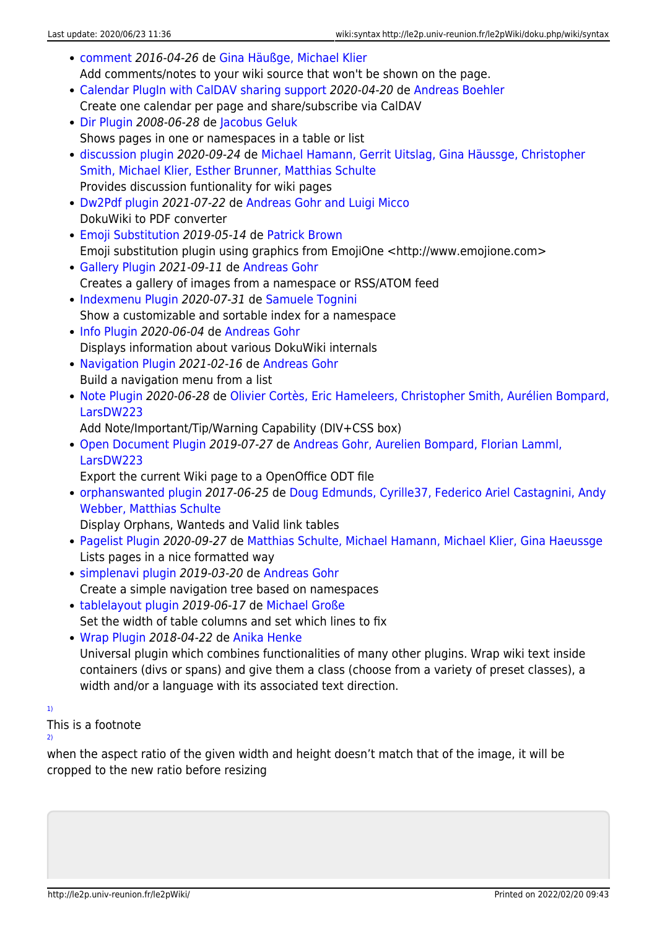- [comment](http://www.dokuwiki.org/plugin:comment) 2016-04-26 de [Gina Häußge, Michael Klier](mailto:dokuwiki@chimeric.de) Add comments/notes to your wiki source that won't be shown on the page.
- [Calendar PlugIn with CalDAV sharing support](http://www.dokuwiki.org/plugin:davcal) 2020-04-20 de [Andreas Boehler](mailto:dev@aboehler.at) Create one calendar per page and share/subscribe via CalDAV
- [Dir Plugin](http://www.dokuwiki.org/plugin:dir) 2008-06-28 de [Jacobus Geluk](mailto:Jacobus.Geluk@gmail.com) Shows pages in one or namespaces in a table or list
- [discussion plugin](https://dokuwiki.org/plugin:discussion) 2020-09-24 de [Michael Hamann, Gerrit Uitslag, Gina Häussge, Christopher](mailto:michael@content-space.de) [Smith, Michael Klier, Esther Brunner, Matthias Schulte](mailto:michael@content-space.de) Provides discussion funtionality for wiki pages
- [Dw2Pdf plugin](https://www.dokuwiki.org/plugin:dw2pdf) 2021-07-22 de [Andreas Gohr and Luigi Micco](mailto:l.micco@tiscali.it) DokuWiki to PDF converter
- [Emoji Substitution](http://www.whoopdedo.org/doku/wiki/emoji) 2019-05-14 de [Patrick Brown](mailto:ptbrown@whoopdedo.org) Emoji substitution plugin using graphics from EmojiOne <http://www.emojione.com>
- [Gallery Plugin](http://www.dokuwiki.org/plugin:gallery) 2021-09-11 de [Andreas Gohr](mailto:andi@splitbrain.org) Creates a gallery of images from a namespace or RSS/ATOM feed
- [Indexmenu Plugin](https://www.dokuwiki.org/plugin:indexmenu) 2020-07-31 de [Samuele Tognini](mailto:samuele@samuele.netsons.org) Show a customizable and sortable index for a namespace
- [Info Plugin](http://dokuwiki.org/plugin:info) 2020-06-04 de [Andreas Gohr](mailto:andi@splitbrain.org) Displays information about various DokuWiki internals
- [Navigation Plugin](http://www.dokuwiki.org/plugin:navi) 2021-02-16 de [Andreas Gohr](mailto:dokuwiki@cosmocode.de) Build a navigation menu from a list
- [Note Plugin](https://www.dokuwiki.org/plugin:note) 2020-06-28 de [Olivier Cortès, Eric Hameleers, Christopher Smith, Aurélien Bompard,](mailto:olive@deep-ocean.net) [LarsDW223](mailto:olive@deep-ocean.net)

Add Note/Important/Tip/Warning Capability (DIV+CSS box)

[Open Document Plugin](http://www.dokuwiki.org/plugin:odt) 2019-07-27 de [Andreas Gohr, Aurelien Bompard, Florian Lamml,](mailto:andi@splitbrain.org, aurelien@bompard.org, infor@florian-lamml.de) [LarsDW223](mailto:andi@splitbrain.org, aurelien@bompard.org, infor@florian-lamml.de)

Export the current Wiki page to a OpenOffice ODT file

[orphanswanted plugin](http://dokuwiki.org/plugin:orphanswanted) 2017-06-25 de [Doug Edmunds, Cyrille37, Federico Ariel Castagnini, Andy](mailto:dokuwiki@lupo49.de) [Webber, Matthias Schulte](mailto:dokuwiki@lupo49.de)

Display Orphans, Wanteds and Valid link tables

- [Pagelist Plugin](http://www.dokuwiki.org/plugin:pagelist) 2020-09-27 de [Matthias Schulte, Michael Hamann, Michael Klier, Gina Haeussge](mailto:michael@content-space.de) Lists pages in a nice formatted way
- [simplenavi plugin](http://www.dokuwiki.org/plugin:simplenavi) 2019-03-20 de [Andreas Gohr](mailto:dokuwiki@cosmocode.de) Create a simple navigation tree based on namespaces
- [tablelayout plugin](https://dokuwiki.org/plugin:tablelayout) 2019-06-17 de [Michael Große](mailto:dokuwiki@cosmocode.de) Set the width of table columns and set which lines to fix
- [Wrap Plugin](https://www.dokuwiki.org/plugin:wrap) 2018-04-22 de [Anika Henke](mailto:anika@selfthinker.org) Universal plugin which combines functionalities of many other plugins. Wrap wiki text inside containers (divs or spans) and give them a class (choose from a variety of preset classes), a width and/or a language with its associated text direction.

[1\)](#page--1-0)

[2\)](#page--1-0)

This is a footnote

when the aspect ratio of the given width and height doesn't match that of the image, it will be cropped to the new ratio before resizing